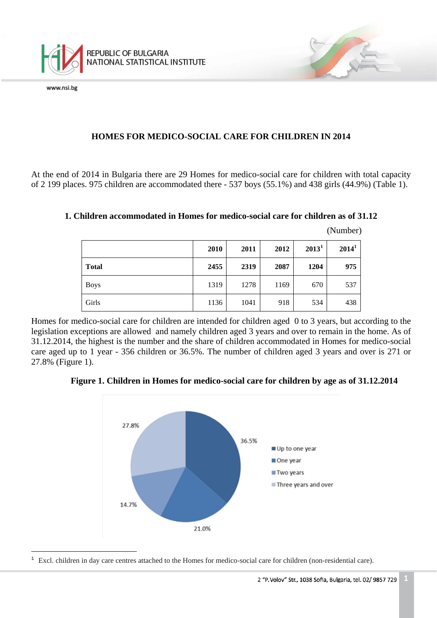

www.nsi.bg

# **HOMES FOR MEDICO-SOCIAL CARE FOR CHILDREN IN 2014**

At the end of 2014 in Bulgaria there are 29 Homes for medico-social care for children with total capacity of 2 199 places. 975 children are accommodated there - 537 boys (55.1%) and 438 girls (44.9%) (Table 1).

## **1. Children accommodated in Homes for medico-social care for children as of 31.12**

|              | 2010 | 2011 | 2012 | $2013^1$ | $2014^1$ |
|--------------|------|------|------|----------|----------|
| <b>Total</b> | 2455 | 2319 | 2087 | 1204     | 975      |
| <b>Boys</b>  | 1319 | 1278 | 1169 | 670      | 537      |
| Girls        | 1136 | 1041 | 918  | 534      | 438      |

(Number)

Homes for medico-social care for children are intended for children aged 0 to 3 years, but according to the legislation exceptions are allowed and namely children aged 3 years and over to remain in the home. As of 31.12.2014, the highest is the number and the share of children accommodated in Homes for medico-social care aged up to 1 year - 356 children or 36.5%. The number of children aged 3 years and over is 271 or 27.8% (Figure 1).

## **Figure 1. Children in Homes for medico-social care for children by age as of 31.12.2014**



<span id="page-0-0"></span>ī  $1\text{ }$  Excl. children in day care centres attached to the Homes for medico-social care for children (non-residential care).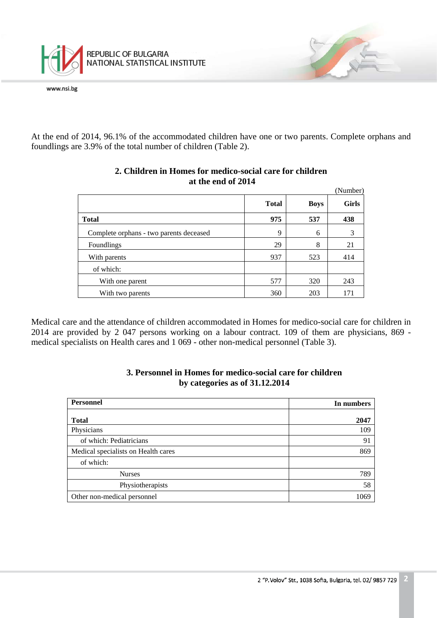

www.nsi.bg

At the end of 2014, 96.1% of the accommodated children have one or two parents. Complete orphans and foundlings are 3.9% of the total number of children (Table 2).

|                                         |              |             | (Number)     |
|-----------------------------------------|--------------|-------------|--------------|
|                                         | <b>Total</b> | <b>Boys</b> | <b>Girls</b> |
| <b>Total</b>                            | 975          | 537         | 438          |
| Complete orphans - two parents deceased | 9            | 6           | 3            |
| Foundlings                              | 29           | 8           | 21           |
| With parents                            | 937          | 523         | 414          |
| of which:                               |              |             |              |
| With one parent                         | 577          | 320         | 243          |
| With two parents                        | 360          | 203         | 171          |

## **2. Children in Homes for medico-social care for children at the end of 2014**

Medical care and the attendance of children accommodated in Homes for medico-social care for children in 2014 are provided by 2 047 persons working on a labour contract. 109 of them are physicians, 869 medical specialists on Health cares and 1 069 - other non-medical personnel (Table 3).

| <b>Personnel</b>                    | In numbers |
|-------------------------------------|------------|
| <b>Total</b>                        | 2047       |
| Physicians                          | 109        |
| of which: Pediatricians             | 91         |
| Medical specialists on Health cares | 869        |
| of which:                           |            |
| <b>Nurses</b>                       | 789        |
| Physiotherapists                    | 58         |
| Other non-medical personnel         | 1069       |

#### **3. Personnel in Homes for medico-social care for children by categories as of 31.12.2014**